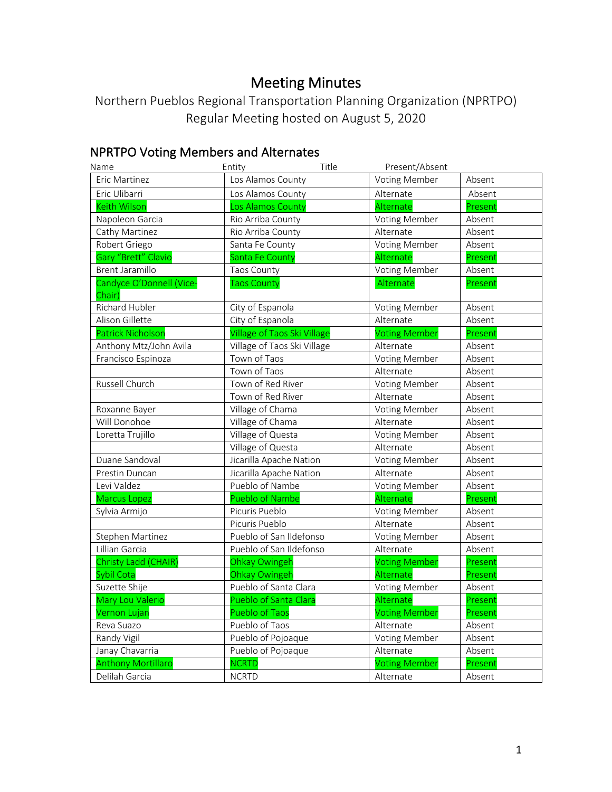# Meeting Minutes

Northern Pueblos Regional Transportation Planning Organization (NPRTPO) Regular Meeting hosted on August 5, 2020

# NPRTPO Voting Members and Alternates

| Name                               | Entity                             | Title | Present/Absent       |         |
|------------------------------------|------------------------------------|-------|----------------------|---------|
| Eric Martinez                      | Los Alamos County                  |       | <b>Voting Member</b> | Absent  |
| Eric Ulibarri                      | Los Alamos County                  |       | Alternate            | Absent  |
| <b>Keith Wilson</b>                | Los Alamos County                  |       | Alternate            | Present |
| Napoleon Garcia                    | Rio Arriba County                  |       | <b>Voting Member</b> | Absent  |
| Cathy Martinez                     | Rio Arriba County                  |       | Alternate            | Absent  |
| Robert Griego                      | Santa Fe County                    |       | <b>Voting Member</b> | Absent  |
| Gary "Brett" Clavio                | Santa Fe County                    |       | Alternate            | Present |
| <b>Brent Jaramillo</b>             | Taos County                        |       | Voting Member        | Absent  |
| Candyce O'Donnell (Vice-<br>Chair) | <b>Taos County</b>                 |       | Alternate            | Present |
| Richard Hubler                     | City of Espanola                   |       | <b>Voting Member</b> | Absent  |
| Alison Gillette                    | City of Espanola                   |       | Alternate            | Absent  |
| <b>Patrick Nicholsor</b>           | <b>Village of Taos Ski Village</b> |       | <b>Voting Member</b> | Present |
| Anthony Mtz/John Avila             | Village of Taos Ski Village        |       | Alternate            | Absent  |
| Francisco Espinoza                 | Town of Taos                       |       | <b>Voting Member</b> | Absent  |
|                                    | Town of Taos                       |       | Alternate            | Absent  |
| Russell Church                     | Town of Red River                  |       | <b>Voting Member</b> | Absent  |
|                                    | Town of Red River                  |       | Alternate            | Absent  |
| Roxanne Bayer                      | Village of Chama                   |       | Voting Member        | Absent  |
| Will Donohoe                       | Village of Chama                   |       | Alternate            | Absent  |
| Loretta Trujillo                   | Village of Questa                  |       | <b>Voting Member</b> | Absent  |
|                                    | Village of Questa                  |       | Alternate            | Absent  |
| Duane Sandoval                     | Jicarilla Apache Nation            |       | <b>Voting Member</b> | Absent  |
| Prestin Duncan                     | Jicarilla Apache Nation            |       | Alternate            | Absent  |
| Levi Valdez                        | Pueblo of Nambe                    |       | <b>Voting Member</b> | Absent  |
| <b>Marcus Lopez</b>                | <b>Pueblo of Nambe</b>             |       | Alternate            | Present |
| Sylvia Armijo                      | Picuris Pueblo                     |       | <b>Voting Member</b> | Absent  |
|                                    | Picuris Pueblo                     |       | Alternate            | Absent  |
| Stephen Martinez                   | Pueblo of San Ildefonso            |       | <b>Voting Member</b> | Absent  |
| Lillian Garcia                     | Pueblo of San Ildefonso            |       | Alternate            | Absent  |
| Christy Ladd (CHAIR)               | Ohkay Owingeh                      |       | <b>Voting Member</b> | Present |
| Sybil Cota                         | Ohkay Owingeh                      |       | Alternate            | Present |
| Suzette Shije                      | Pueblo of Santa Clara              |       | Voting Member        | Absent  |
| Mary Lou Valerio                   | Pueblo of Santa Clara              |       | Alternate            | Present |
| Vernon Lujan                       | <b>Pueblo of Taos</b>              |       | <b>Voting Member</b> | Present |
| Reva Suazo                         | Pueblo of Taos                     |       | Alternate            | Absent  |
| Randy Vigil                        | Pueblo of Pojoaque                 |       | <b>Voting Member</b> | Absent  |
| Janay Chavarria                    | Pueblo of Pojoaque                 |       | Alternate            | Absent  |
| <b>Anthony Mortillaro</b>          | <b>NCRTD</b>                       |       | <b>Voting Member</b> | Present |
| Delilah Garcia                     | <b>NCRTD</b>                       |       | Alternate            | Absent  |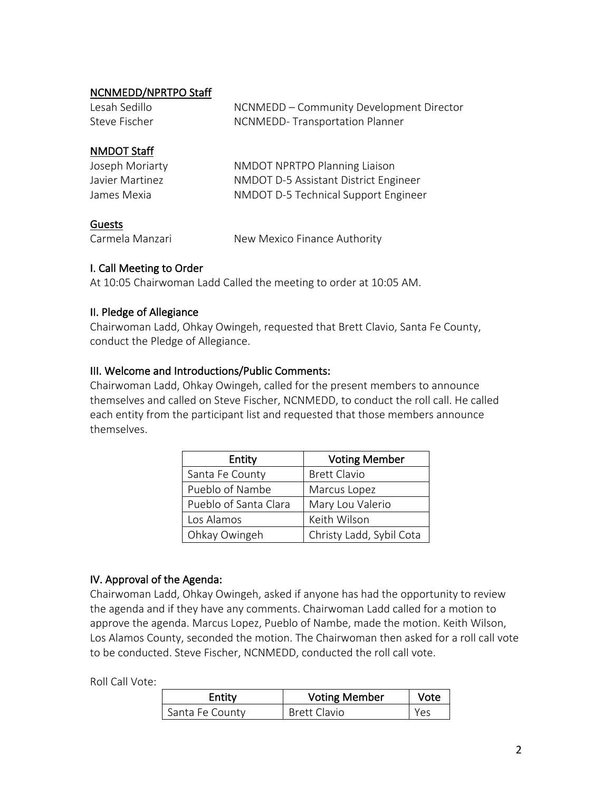# NCNMEDD/NPRTPO Staff

| Lesah Sedillo | NCNMEDD – Community Development Director |
|---------------|------------------------------------------|
| Steve Fischer | NCNMEDD-Transportation Planner           |
|               |                                          |
| NMDOT Staff   |                                          |

| Joseph Moriarty | NMDOT NPRTPO Planning Liaison         |
|-----------------|---------------------------------------|
| Javier Martinez | NMDOT D-5 Assistant District Engineer |
| James Mexia     | NMDOT D-5 Technical Support Engineer  |

### Guests

Carmela Manzari New Mexico Finance Authority

## I. Call Meeting to Order

At 10:05 Chairwoman Ladd Called the meeting to order at 10:05 AM.

### II. Pledge of Allegiance

Chairwoman Ladd, Ohkay Owingeh, requested that Brett Clavio, Santa Fe County, conduct the Pledge of Allegiance.

## III. Welcome and Introductions/Public Comments:

Chairwoman Ladd, Ohkay Owingeh, called for the present members to announce themselves and called on Steve Fischer, NCNMEDD, to conduct the roll call. He called each entity from the participant list and requested that those members announce themselves.

| Entity                | <b>Voting Member</b>     |
|-----------------------|--------------------------|
| Santa Fe County       | <b>Brett Clavio</b>      |
| Pueblo of Nambe       | Marcus Lopez             |
| Pueblo of Santa Clara | Mary Lou Valerio         |
| Los Alamos            | Keith Wilson             |
| Ohkay Owingeh         | Christy Ladd, Sybil Cota |

## IV. Approval of the Agenda:

Chairwoman Ladd, Ohkay Owingeh, asked if anyone has had the opportunity to review the agenda and if they have any comments. Chairwoman Ladd called for a motion to approve the agenda. Marcus Lopez, Pueblo of Nambe, made the motion. Keith Wilson, Los Alamos County, seconded the motion. The Chairwoman then asked for a roll call vote to be conducted. Steve Fischer, NCNMEDD, conducted the roll call vote.

Roll Call Vote:

| Entity          | <b>Voting Member</b> | Vote |
|-----------------|----------------------|------|
| Santa Fe County | <b>Brett Clavio</b>  | Yes  |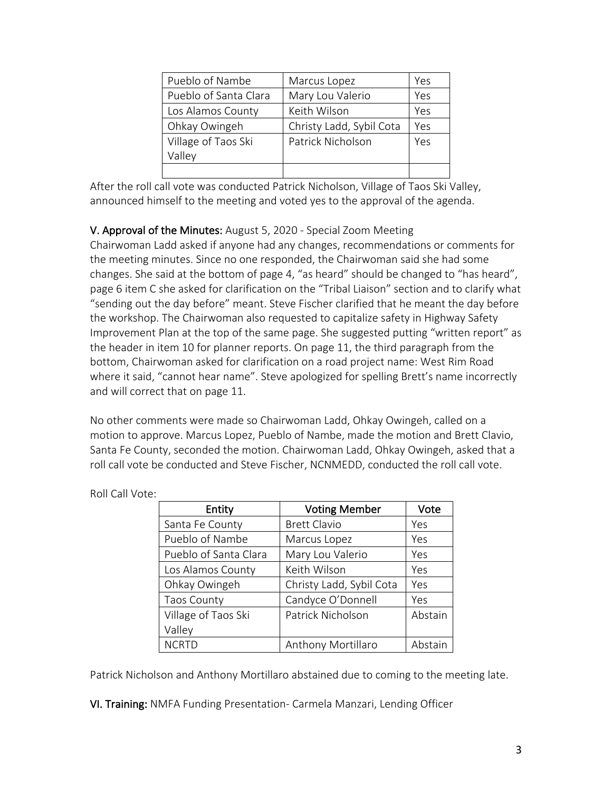| Pueblo of Nambe       | Marcus Lopez             | Yes |
|-----------------------|--------------------------|-----|
| Pueblo of Santa Clara | Mary Lou Valerio         | Yes |
| Los Alamos County     | Keith Wilson             | Yes |
| Ohkay Owingeh         | Christy Ladd, Sybil Cota | Yes |
| Village of Taos Ski   | Patrick Nicholson        | Yes |
| Valley                |                          |     |
|                       |                          |     |

After the roll call vote was conducted Patrick Nicholson, Village of Taos Ski Valley, announced himself to the meeting and voted yes to the approval of the agenda.

# V. Approval of the Minutes: August 5, 2020 - Special Zoom Meeting

Chairwoman Ladd asked if anyone had any changes, recommendations or comments for the meeting minutes. Since no one responded, the Chairwoman said she had some changes. She said at the bottom of page 4, "as heard" should be changed to "has heard", page 6 item C she asked for clarification on the "Tribal Liaison" section and to clarify what "sending out the day before" meant. Steve Fischer clarified that he meant the day before the workshop. The Chairwoman also requested to capitalize safety in Highway Safety Improvement Plan at the top of the same page. She suggested putting "written report" as the header in item 10 for planner reports. On page 11, the third paragraph from the bottom, Chairwoman asked for clarification on a road project name: West Rim Road where it said, "cannot hear name". Steve apologized for spelling Brett's name incorrectly and will correct that on page 11.

No other comments were made so Chairwoman Ladd, Ohkay Owingeh, called on a motion to approve. Marcus Lopez, Pueblo of Nambe, made the motion and Brett Clavio, Santa Fe County, seconded the motion. Chairwoman Ladd, Ohkay Owingeh, asked that a roll call vote be conducted and Steve Fischer, NCNMEDD, conducted the roll call vote.

| Entity                | <b>Voting Member</b>     | Vote    |
|-----------------------|--------------------------|---------|
| Santa Fe County       | <b>Brett Clavio</b>      | Yes     |
| Pueblo of Nambe       | Marcus Lopez             | Yes     |
| Pueblo of Santa Clara | Mary Lou Valerio         | Yes     |
| Los Alamos County     | Keith Wilson             | Yes     |
| Ohkay Owingeh         | Christy Ladd, Sybil Cota | Yes     |
| <b>Taos County</b>    | Candyce O'Donnell        | Yes     |
| Village of Taos Ski   | Patrick Nicholson        | Abstain |
| Valley                |                          |         |
| <b>NCRTD</b>          | Anthony Mortillaro       | Abstain |

Roll Call Vote:

Patrick Nicholson and Anthony Mortillaro abstained due to coming to the meeting late.

VI. Training: NMFA Funding Presentation- Carmela Manzari, Lending Officer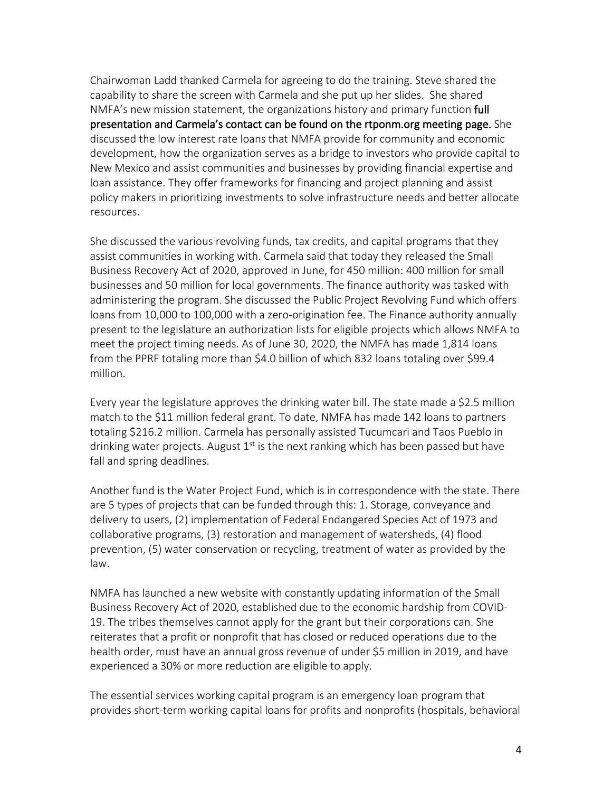Chairwoman Ladd thanked Carmela for agreeing to do the training. Steve shared the capability to share the screen with Carmela and she put up her slides. She shared NMFA's new mission statement, the organizations history and primary function full presentation and Carmela's contact can be found on the rtponm.org meeting page. She discussed the low interest rate loans that NMFA provide for community and economic development, how the organization serves as a bridge to investors who provide capital to New Mexico and assist communities and businesses by providing financial expertise and loan assistance. They offer frameworks for financing and project planning and assist policy makers in prioritizing investments to solve infrastructure needs and better allocate resources.

She discussed the various revolving funds, tax credits, and capital programs that they assist communities in working with. Carmela said that today they released the Small Business Recovery Act of 2020, approved in June, for 450 million: 400 million for small businesses and 50 million for local governments. The finance authority was tasked with administering the program. She discussed the Public Project Revolving Fund which offers loans from 10,000 to 100,000 with a zero-origination fee. The Finance authority annually present to the legislature an authorization lists for eligible projects which allows NMFA to meet the project timing needs. As of June 30, 2020, the NMFA has made 1,814 loans from the PPRF totaling more than \$4.0 billion of which 832 loans totaling over \$99.4 million.

Every year the legislature approves the drinking water bill. The state made a \$2.5 million match to the \$11 million federal grant. To date, NMFA has made 142 loans to partners totaling \$216.2 million. Carmela has personally assisted Tucumcari and Taos Pueblo in drinking water projects. August  $1<sup>st</sup>$  is the next ranking which has been passed but have fall and spring deadlines.

Another fund is the Water Project Fund, which is in correspondence with the state. There are 5 types of projects that can be funded through this: 1. Storage, conveyance and delivery to users, (2) implementation of Federal Endangered Species Act of 1973 and collaborative programs, (3) restoration and management of watersheds, (4) flood prevention, (5) water conservation or recycling, treatment of water as provided by the law.

NMFA has launched a new website with constantly updating information of the Small Business Recovery Act of 2020, established due to the economic hardship from COVID-19. The tribes themselves cannot apply for the grant but their corporations can. She reiterates that a profit or nonprofit that has closed or reduced operations due to the health order, must have an annual gross revenue of under \$5 million in 2019, and have experienced a 30% or more reduction are eligible to apply.

The essential services working capital program is an emergency loan program that provides short-term working capital loans for profits and nonprofits (hospitals, behavioral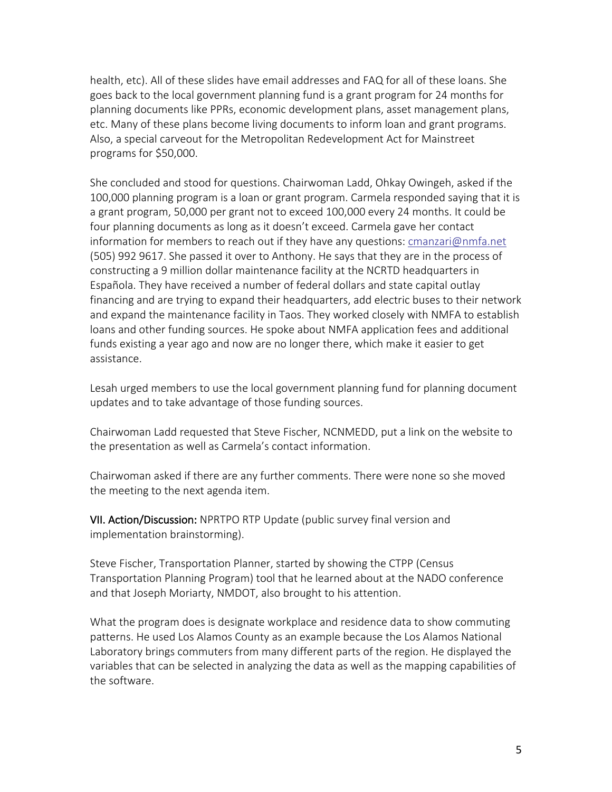health, etc). All of these slides have email addresses and FAQ for all of these loans. She goes back to the local government planning fund is a grant program for 24 months for planning documents like PPRs, economic development plans, asset management plans, etc. Many of these plans become living documents to inform loan and grant programs. Also, a special carveout for the Metropolitan Redevelopment Act for Mainstreet programs for \$50,000.

She concluded and stood for questions. Chairwoman Ladd, Ohkay Owingeh, asked if the 100,000 planning program is a loan or grant program. Carmela responded saying that it is a grant program, 50,000 per grant not to exceed 100,000 every 24 months. It could be four planning documents as long as it doesn't exceed. Carmela gave her contact information for members to reach out if they have any questions: cmanzari@nmfa.net (505) 992 9617. She passed it over to Anthony. He says that they are in the process of constructing a 9 million dollar maintenance facility at the NCRTD headquarters in Española. They have received a number of federal dollars and state capital outlay financing and are trying to expand their headquarters, add electric buses to their network and expand the maintenance facility in Taos. They worked closely with NMFA to establish loans and other funding sources. He spoke about NMFA application fees and additional funds existing a year ago and now are no longer there, which make it easier to get assistance.

Lesah urged members to use the local government planning fund for planning document updates and to take advantage of those funding sources.

Chairwoman Ladd requested that Steve Fischer, NCNMEDD, put a link on the website to the presentation as well as Carmela's contact information.

Chairwoman asked if there are any further comments. There were none so she moved the meeting to the next agenda item.

VII. Action/Discussion: NPRTPO RTP Update (public survey final version and implementation brainstorming).

Steve Fischer, Transportation Planner, started by showing the CTPP (Census Transportation Planning Program) tool that he learned about at the NADO conference and that Joseph Moriarty, NMDOT, also brought to his attention.

What the program does is designate workplace and residence data to show commuting patterns. He used Los Alamos County as an example because the Los Alamos National Laboratory brings commuters from many different parts of the region. He displayed the variables that can be selected in analyzing the data as well as the mapping capabilities of the software.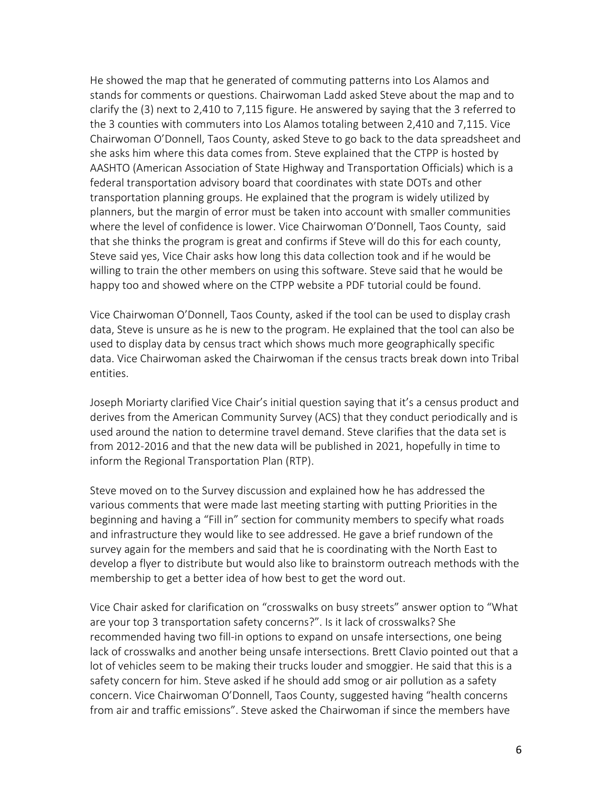He showed the map that he generated of commuting patterns into Los Alamos and stands for comments or questions. Chairwoman Ladd asked Steve about the map and to clarify the (3) next to 2,410 to 7,115 figure. He answered by saying that the 3 referred to the 3 counties with commuters into Los Alamos totaling between 2,410 and 7,115. Vice Chairwoman O'Donnell, Taos County, asked Steve to go back to the data spreadsheet and she asks him where this data comes from. Steve explained that the CTPP is hosted by AASHTO (American Association of State Highway and Transportation Officials) which is a federal transportation advisory board that coordinates with state DOTs and other transportation planning groups. He explained that the program is widely utilized by planners, but the margin of error must be taken into account with smaller communities where the level of confidence is lower. Vice Chairwoman O'Donnell, Taos County, said that she thinks the program is great and confirms if Steve will do this for each county, Steve said yes, Vice Chair asks how long this data collection took and if he would be willing to train the other members on using this software. Steve said that he would be happy too and showed where on the CTPP website a PDF tutorial could be found.

Vice Chairwoman O'Donnell, Taos County, asked if the tool can be used to display crash data, Steve is unsure as he is new to the program. He explained that the tool can also be used to display data by census tract which shows much more geographically specific data. Vice Chairwoman asked the Chairwoman if the census tracts break down into Tribal entities.

Joseph Moriarty clarified Vice Chair's initial question saying that it's a census product and derives from the American Community Survey (ACS) that they conduct periodically and is used around the nation to determine travel demand. Steve clarifies that the data set is from 2012-2016 and that the new data will be published in 2021, hopefully in time to inform the Regional Transportation Plan (RTP).

Steve moved on to the Survey discussion and explained how he has addressed the various comments that were made last meeting starting with putting Priorities in the beginning and having a "Fill in" section for community members to specify what roads and infrastructure they would like to see addressed. He gave a brief rundown of the survey again for the members and said that he is coordinating with the North East to develop a flyer to distribute but would also like to brainstorm outreach methods with the membership to get a better idea of how best to get the word out.

Vice Chair asked for clarification on "crosswalks on busy streets" answer option to "What are your top 3 transportation safety concerns?". Is it lack of crosswalks? She recommended having two fill-in options to expand on unsafe intersections, one being lack of crosswalks and another being unsafe intersections. Brett Clavio pointed out that a lot of vehicles seem to be making their trucks louder and smoggier. He said that this is a safety concern for him. Steve asked if he should add smog or air pollution as a safety concern. Vice Chairwoman O'Donnell, Taos County, suggested having "health concerns from air and traffic emissions". Steve asked the Chairwoman if since the members have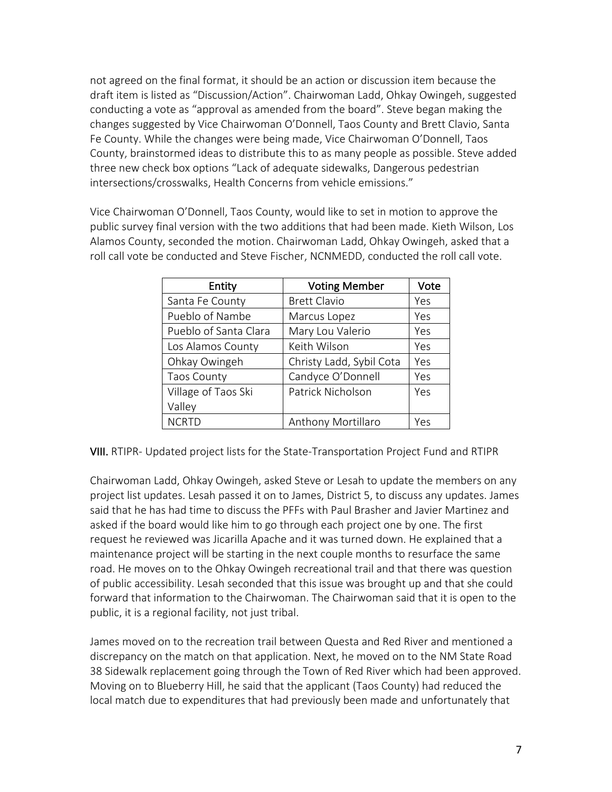not agreed on the final format, it should be an action or discussion item because the draft item is listed as "Discussion/Action". Chairwoman Ladd, Ohkay Owingeh, suggested conducting a vote as "approval as amended from the board". Steve began making the changes suggested by Vice Chairwoman O'Donnell, Taos County and Brett Clavio, Santa Fe County. While the changes were being made, Vice Chairwoman O'Donnell, Taos County, brainstormed ideas to distribute this to as many people as possible. Steve added three new check box options "Lack of adequate sidewalks, Dangerous pedestrian intersections/crosswalks, Health Concerns from vehicle emissions."

Vice Chairwoman O'Donnell, Taos County, would like to set in motion to approve the public survey final version with the two additions that had been made. Kieth Wilson, Los Alamos County, seconded the motion. Chairwoman Ladd, Ohkay Owingeh, asked that a roll call vote be conducted and Steve Fischer, NCNMEDD, conducted the roll call vote.

| Entity                | <b>Voting Member</b>     | Vote |
|-----------------------|--------------------------|------|
| Santa Fe County       | <b>Brett Clavio</b>      | Yes  |
| Pueblo of Nambe       | Marcus Lopez             | Yes  |
| Pueblo of Santa Clara | Mary Lou Valerio         | Yes  |
| Los Alamos County     | Keith Wilson             | Yes  |
| Ohkay Owingeh         | Christy Ladd, Sybil Cota | Yes  |
| <b>Taos County</b>    | Candyce O'Donnell        | Yes  |
| Village of Taos Ski   | Patrick Nicholson        | Yes  |
| Valley                |                          |      |
| <b>NCRTD</b>          | Anthony Mortillaro       | Yes  |

VIII. RTIPR- Updated project lists for the State-Transportation Project Fund and RTIPR

Chairwoman Ladd, Ohkay Owingeh, asked Steve or Lesah to update the members on any project list updates. Lesah passed it on to James, District 5, to discuss any updates. James said that he has had time to discuss the PFFs with Paul Brasher and Javier Martinez and asked if the board would like him to go through each project one by one. The first request he reviewed was Jicarilla Apache and it was turned down. He explained that a maintenance project will be starting in the next couple months to resurface the same road. He moves on to the Ohkay Owingeh recreational trail and that there was question of public accessibility. Lesah seconded that this issue was brought up and that she could forward that information to the Chairwoman. The Chairwoman said that it is open to the public, it is a regional facility, not just tribal.

James moved on to the recreation trail between Questa and Red River and mentioned a discrepancy on the match on that application. Next, he moved on to the NM State Road 38 Sidewalk replacement going through the Town of Red River which had been approved. Moving on to Blueberry Hill, he said that the applicant (Taos County) had reduced the local match due to expenditures that had previously been made and unfortunately that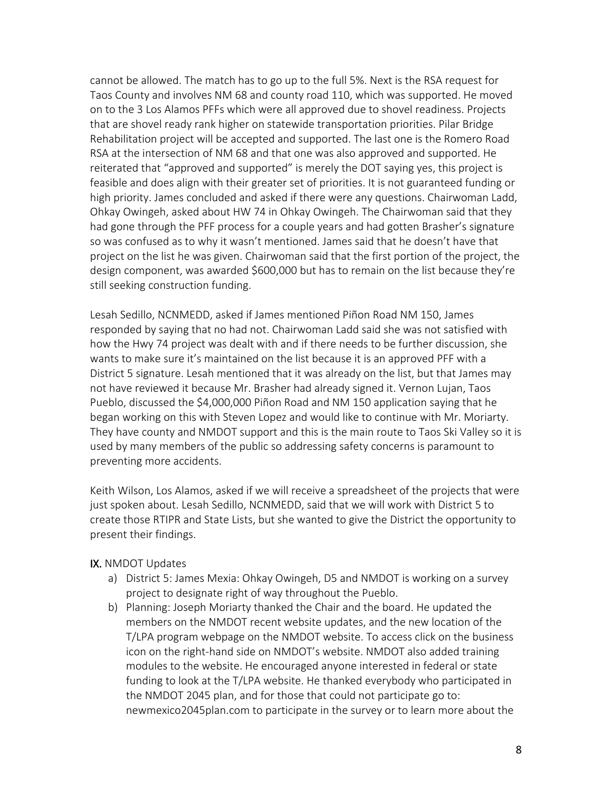cannot be allowed. The match has to go up to the full 5%. Next is the RSA request for Taos County and involves NM 68 and county road 110, which was supported. He moved on to the 3 Los Alamos PFFs which were all approved due to shovel readiness. Projects that are shovel ready rank higher on statewide transportation priorities. Pilar Bridge Rehabilitation project will be accepted and supported. The last one is the Romero Road RSA at the intersection of NM 68 and that one was also approved and supported. He reiterated that "approved and supported" is merely the DOT saying yes, this project is feasible and does align with their greater set of priorities. It is not guaranteed funding or high priority. James concluded and asked if there were any questions. Chairwoman Ladd, Ohkay Owingeh, asked about HW 74 in Ohkay Owingeh. The Chairwoman said that they had gone through the PFF process for a couple years and had gotten Brasher's signature so was confused as to why it wasn't mentioned. James said that he doesn't have that project on the list he was given. Chairwoman said that the first portion of the project, the design component, was awarded \$600,000 but has to remain on the list because they're still seeking construction funding.

Lesah Sedillo, NCNMEDD, asked if James mentioned Piñon Road NM 150, James responded by saying that no had not. Chairwoman Ladd said she was not satisfied with how the Hwy 74 project was dealt with and if there needs to be further discussion, she wants to make sure it's maintained on the list because it is an approved PFF with a District 5 signature. Lesah mentioned that it was already on the list, but that James may not have reviewed it because Mr. Brasher had already signed it. Vernon Lujan, Taos Pueblo, discussed the \$4,000,000 Piñon Road and NM 150 application saying that he began working on this with Steven Lopez and would like to continue with Mr. Moriarty. They have county and NMDOT support and this is the main route to Taos Ski Valley so it is used by many members of the public so addressing safety concerns is paramount to preventing more accidents.

Keith Wilson, Los Alamos, asked if we will receive a spreadsheet of the projects that were just spoken about. Lesah Sedillo, NCNMEDD, said that we will work with District 5 to create those RTIPR and State Lists, but she wanted to give the District the opportunity to present their findings.

#### IX. NMDOT Updates

- a) District 5: James Mexia: Ohkay Owingeh, D5 and NMDOT is working on a survey project to designate right of way throughout the Pueblo.
- b) Planning: Joseph Moriarty thanked the Chair and the board. He updated the members on the NMDOT recent website updates, and the new location of the T/LPA program webpage on the NMDOT website. To access click on the business icon on the right-hand side on NMDOT's website. NMDOT also added training modules to the website. He encouraged anyone interested in federal or state funding to look at the T/LPA website. He thanked everybody who participated in the NMDOT 2045 plan, and for those that could not participate go to: newmexico2045plan.com to participate in the survey or to learn more about the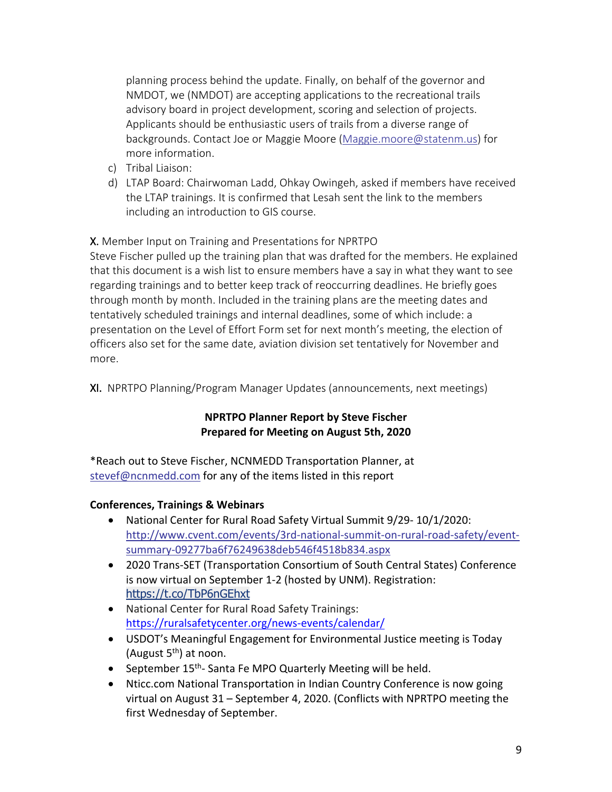planning process behind the update. Finally, on behalf of the governor and NMDOT, we (NMDOT) are accepting applications to the recreational trails advisory board in project development, scoring and selection of projects. Applicants should be enthusiastic users of trails from a diverse range of backgrounds. Contact Joe or Maggie Moore (Maggie.moore@statenm.us) for more information.

- c) Tribal Liaison:
- d) LTAP Board: Chairwoman Ladd, Ohkay Owingeh, asked if members have received the LTAP trainings. It is confirmed that Lesah sent the link to the members including an introduction to GIS course.

X. Member Input on Training and Presentations for NPRTPO

Steve Fischer pulled up the training plan that was drafted for the members. He explained that this document is a wish list to ensure members have a say in what they want to see regarding trainings and to better keep track of reoccurring deadlines. He briefly goes through month by month. Included in the training plans are the meeting dates and tentatively scheduled trainings and internal deadlines, some of which include: a presentation on the Level of Effort Form set for next month's meeting, the election of officers also set for the same date, aviation division set tentatively for November and more.

XI. NPRTPO Planning/Program Manager Updates (announcements, next meetings)

# **NPRTPO Planner Report by Steve Fischer Prepared for Meeting on August 5th, 2020**

\*Reach out to Steve Fischer, NCNMEDD Transportation Planner, at stevef@ncnmedd.com for any of the items listed in this report

# **Conferences, Trainings & Webinars**

- National Center for Rural Road Safety Virtual Summit 9/29- 10/1/2020: http://www.cvent.com/events/3rd-national-summit-on-rural-road-safety/eventsummary-09277ba6f76249638deb546f4518b834.aspx
- 2020 Trans-SET (Transportation Consortium of South Central States) Conference is now virtual on September 1-2 (hosted by UNM). Registration: https://t.co/TbP6nGEhxt
- National Center for Rural Road Safety Trainings: https://ruralsafetycenter.org/news-events/calendar/
- USDOT's Meaningful Engagement for Environmental Justice meeting is Today (August  $5<sup>th</sup>$ ) at noon.
- September 15<sup>th</sup>- Santa Fe MPO Quarterly Meeting will be held.
- Nticc.com National Transportation in Indian Country Conference is now going virtual on August 31 – September 4, 2020. (Conflicts with NPRTPO meeting the first Wednesday of September.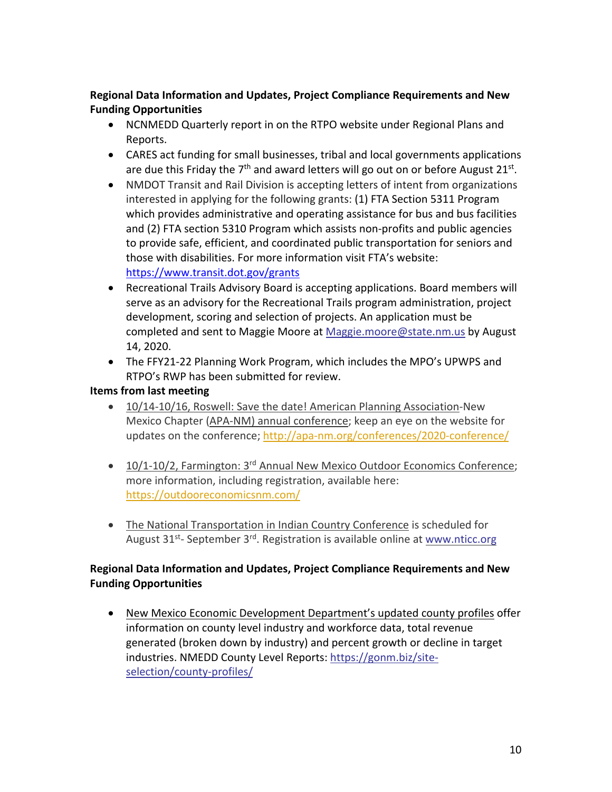# **Regional Data Information and Updates, Project Compliance Requirements and New Funding Opportunities**

- NCNMEDD Quarterly report in on the RTPO website under Regional Plans and Reports.
- CARES act funding for small businesses, tribal and local governments applications are due this Friday the  $7<sup>th</sup>$  and award letters will go out on or before August 21<sup>st</sup>.
- NMDOT Transit and Rail Division is accepting letters of intent from organizations interested in applying for the following grants: (1) FTA Section 5311 Program which provides administrative and operating assistance for bus and bus facilities and (2) FTA section 5310 Program which assists non-profits and public agencies to provide safe, efficient, and coordinated public transportation for seniors and those with disabilities. For more information visit FTA's website: https://www.transit.dot.gov/grants
- Recreational Trails Advisory Board is accepting applications. Board members will serve as an advisory for the Recreational Trails program administration, project development, scoring and selection of projects. An application must be completed and sent to Maggie Moore at Maggie.moore@state.nm.us by August 14, 2020.
- The FFY21-22 Planning Work Program, which includes the MPO's UPWPS and RTPO's RWP has been submitted for review.

# **Items from last meeting**

- 10/14-10/16, Roswell: Save the date! American Planning Association-New Mexico Chapter (APA-NM) annual conference; keep an eye on the website for updates on the conference; http://apa-nm.org/conferences/2020-conference/
- 10/1-10/2, Farmington: 3<sup>rd</sup> Annual New Mexico Outdoor Economics Conference; more information, including registration, available here: https://outdooreconomicsnm.com/
- The National Transportation in Indian Country Conference is scheduled for August 31<sup>st</sup>- September 3<sup>rd</sup>. Registration is available online at www.nticc.org

# **Regional Data Information and Updates, Project Compliance Requirements and New Funding Opportunities**

• New Mexico Economic Development Department's updated county profiles offer information on county level industry and workforce data, total revenue generated (broken down by industry) and percent growth or decline in target industries. NMEDD County Level Reports: https://gonm.biz/siteselection/county-profiles/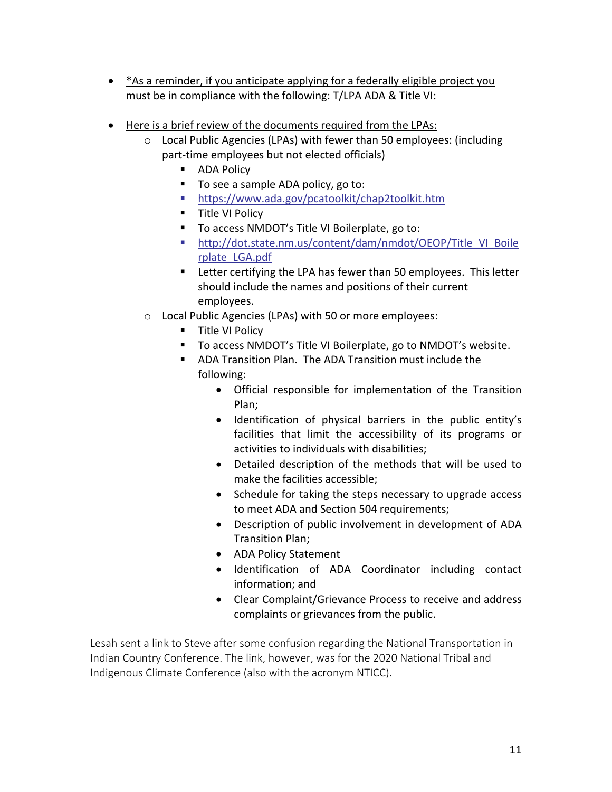- \*As a reminder, if you anticipate applying for a federally eligible project you must be in compliance with the following: T/LPA ADA & Title VI:
- Here is a brief review of the documents required from the LPAs:
	- o Local Public Agencies (LPAs) with fewer than 50 employees: (including part-time employees but not elected officials)
		- ADA Policy
		- To see a sample ADA policy, go to:
		- § https://www.ada.gov/pcatoolkit/chap2toolkit.htm
		- Title VI Policy
		- To access NMDOT's Title VI Boilerplate, go to:
		- § http://dot.state.nm.us/content/dam/nmdot/OEOP/Title\_VI\_Boile rplate\_LGA.pdf
		- Letter certifying the LPA has fewer than 50 employees. This letter should include the names and positions of their current employees.
	- o Local Public Agencies (LPAs) with 50 or more employees:
		- Title VI Policy
		- To access NMDOT's Title VI Boilerplate, go to NMDOT's website.
		- ADA Transition Plan. The ADA Transition must include the following:
			- Official responsible for implementation of the Transition Plan;
			- Identification of physical barriers in the public entity's facilities that limit the accessibility of its programs or activities to individuals with disabilities;
			- Detailed description of the methods that will be used to make the facilities accessible;
			- Schedule for taking the steps necessary to upgrade access to meet ADA and Section 504 requirements;
			- Description of public involvement in development of ADA Transition Plan;
			- ADA Policy Statement
			- Identification of ADA Coordinator including contact information; and
			- Clear Complaint/Grievance Process to receive and address complaints or grievances from the public.

Lesah sent a link to Steve after some confusion regarding the National Transportation in Indian Country Conference. The link, however, was for the 2020 National Tribal and Indigenous Climate Conference (also with the acronym NTICC).